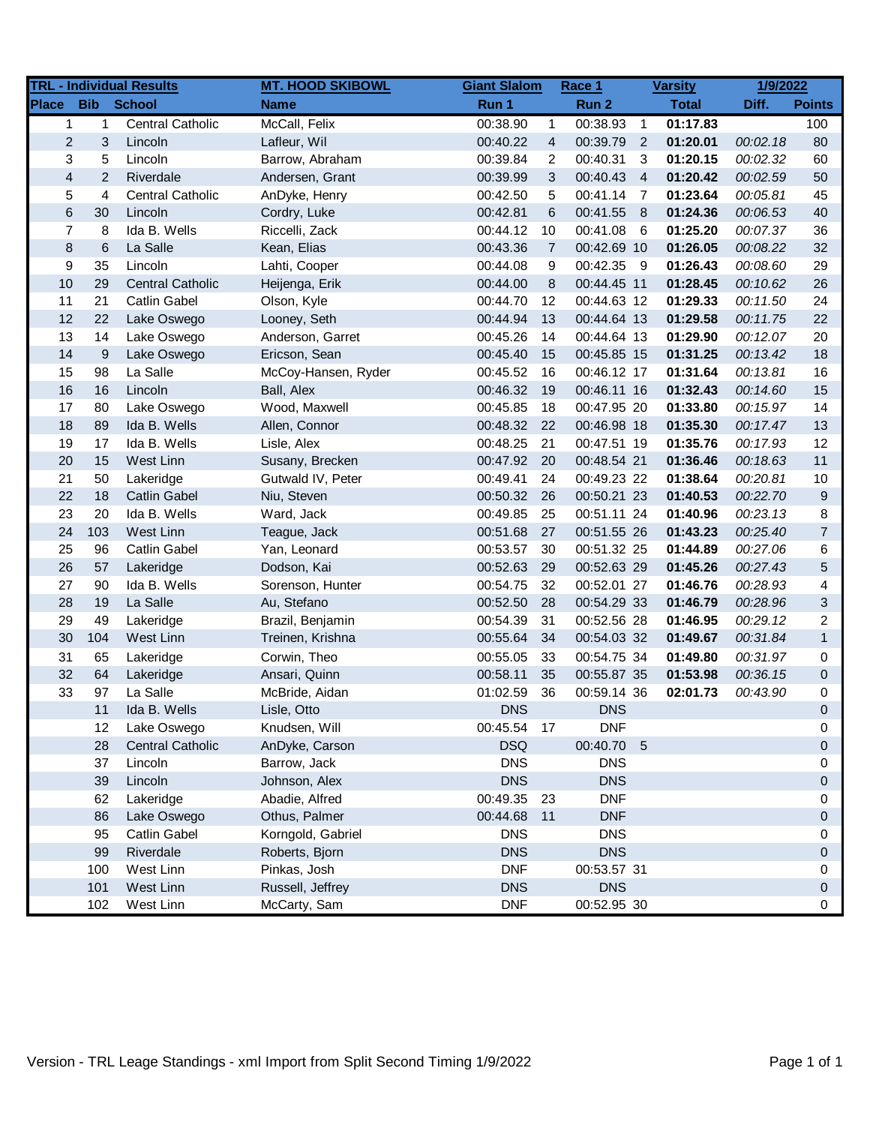|                |                   | <b>TRL - Individual Results</b> | <b>MT. HOOD SKIBOWL</b> | <b>Giant Slalom</b> |                | Race 1      |                | <b>Varsity</b> | 1/9/2022 |                |
|----------------|-------------------|---------------------------------|-------------------------|---------------------|----------------|-------------|----------------|----------------|----------|----------------|
| <b>Place</b>   | <b>Bib</b> School |                                 | <b>Name</b>             | Run 1               |                | Run 2       |                | <b>Total</b>   | Diff.    | <b>Points</b>  |
| $\mathbf{1}$   | $\mathbf{1}$      | <b>Central Catholic</b>         | McCall, Felix           | 00:38.90            | $\mathbf{1}$   | 00:38.93    | $\overline{1}$ | 01:17.83       |          | 100            |
| $\overline{2}$ | 3                 | Lincoln                         | Lafleur, Wil            | 00:40.22            | 4              | 00:39.79    | $\overline{2}$ | 01:20.01       | 00:02.18 | 80             |
| 3              | 5                 | Lincoln                         | Barrow, Abraham         | 00:39.84            | 2              | 00:40.31    | 3              | 01:20.15       | 00:02.32 | 60             |
| $\overline{4}$ | $\overline{c}$    | Riverdale                       | Andersen, Grant         | 00:39.99            | 3              | 00:40.43    | $\overline{4}$ | 01:20.42       | 00:02.59 | 50             |
| 5              | 4                 | <b>Central Catholic</b>         | AnDyke, Henry           | 00:42.50            | 5              | 00:41.14    | $\overline{7}$ | 01:23.64       | 00:05.81 | 45             |
| $\,6$          | 30                | Lincoln                         | Cordry, Luke            | 00:42.81            | 6              | 00:41.55    | 8              | 01:24.36       | 00:06.53 | 40             |
| $\overline{7}$ | 8                 | Ida B. Wells                    | Riccelli, Zack          | 00:44.12            | 10             | 00:41.08    | - 6            | 01:25.20       | 00:07.37 | 36             |
| $\bf 8$        | 6                 | La Salle                        | Kean, Elias             | 00:43.36            | $\overline{7}$ | 00:42.69 10 |                | 01:26.05       | 00:08.22 | 32             |
| 9              | 35                | Lincoln                         | Lahti, Cooper           | 00:44.08            | 9              | 00:42.35 9  |                | 01:26.43       | 00:08.60 | 29             |
| 10             | 29                | <b>Central Catholic</b>         | Heijenga, Erik          | 00:44.00            | 8              | 00:44.45 11 |                | 01:28.45       | 00:10.62 | 26             |
| 11             | 21                | <b>Catlin Gabel</b>             | Olson, Kyle             | 00:44.70            | 12             | 00:44.63 12 |                | 01:29.33       | 00:11.50 | 24             |
| 12             | 22                | Lake Oswego                     | Looney, Seth            | 00:44.94            | 13             | 00:44.64 13 |                | 01:29.58       | 00:11.75 | 22             |
| 13             | 14                | Lake Oswego                     | Anderson, Garret        | 00:45.26            | 14             | 00:44.64 13 |                | 01:29.90       | 00:12.07 | 20             |
| 14             | 9                 | Lake Oswego                     | Ericson, Sean           | 00:45.40            | 15             | 00:45.85 15 |                | 01:31.25       | 00:13.42 | 18             |
| 15             | 98                | La Salle                        | McCoy-Hansen, Ryder     | 00:45.52            | 16             | 00:46.12 17 |                | 01:31.64       | 00:13.81 | 16             |
| 16             | 16                | Lincoln                         | Ball, Alex              | 00:46.32            | 19             | 00:46.11 16 |                | 01:32.43       | 00:14.60 | 15             |
| 17             | 80                | Lake Oswego                     | Wood, Maxwell           | 00:45.85            | 18             | 00:47.95 20 |                | 01:33.80       | 00:15.97 | 14             |
| 18             | 89                | Ida B. Wells                    | Allen, Connor           | 00:48.32            | 22             | 00:46.98 18 |                | 01:35.30       | 00:17.47 | 13             |
| 19             | 17                | Ida B. Wells                    | Lisle, Alex             | 00:48.25            | 21             | 00:47.51 19 |                | 01:35.76       | 00:17.93 | 12             |
| 20             | 15                | West Linn                       | Susany, Brecken         | 00:47.92            | 20             | 00:48.54 21 |                | 01:36.46       | 00:18.63 | 11             |
| 21             | 50                | Lakeridge                       | Gutwald IV, Peter       | 00:49.41            | 24             | 00:49.23 22 |                | 01:38.64       | 00:20.81 | 10             |
| 22             | 18                | <b>Catlin Gabel</b>             | Niu, Steven             | 00:50.32            | 26             | 00:50.21 23 |                | 01:40.53       | 00:22.70 | 9              |
| 23             | 20                | Ida B. Wells                    | Ward, Jack              | 00:49.85            | 25             | 00:51.11 24 |                | 01:40.96       | 00:23.13 | 8              |
| 24             | 103               | West Linn                       | Teague, Jack            | 00:51.68            | 27             | 00:51.55 26 |                | 01:43.23       | 00:25.40 | $\overline{7}$ |
| 25             | 96                | Catlin Gabel                    | Yan, Leonard            | 00:53.57            | 30             | 00:51.32 25 |                | 01:44.89       | 00:27.06 | 6              |
| 26             | 57                | Lakeridge                       | Dodson, Kai             | 00:52.63            | 29             | 00:52.63 29 |                | 01:45.26       | 00:27.43 | 5              |
| 27             | 90                | Ida B. Wells                    | Sorenson, Hunter        | 00:54.75            | 32             | 00:52.01 27 |                | 01:46.76       | 00:28.93 | 4              |
| 28             | 19                | La Salle                        | Au, Stefano             | 00:52.50            | 28             | 00:54.29 33 |                | 01:46.79       | 00:28.96 | 3              |
| 29             | 49                | Lakeridge                       | Brazil, Benjamin        | 00:54.39            | 31             | 00:52.56 28 |                | 01:46.95       | 00:29.12 | 2              |
| 30             | 104               | West Linn                       | Treinen, Krishna        | 00:55.64            | 34             | 00:54.03 32 |                | 01:49.67       | 00:31.84 | $\mathbf{1}$   |
| 31             | 65                | Lakeridge                       | Corwin, Theo            | 00:55.05            | 33             | 00:54.75 34 |                | 01:49.80       | 00:31.97 | 0              |
| 32             | 64                | Lakeridge                       | Ansari, Quinn           | 00:58.11            | 35             | 00:55.87 35 |                | 01:53.98       | 00:36.15 | 0              |
| 33             | 97                | La Salle                        | McBride, Aidan          | 01:02.59            | 36             | 00:59.14 36 |                | 02:01.73       | 00:43.90 | 0              |
|                | 11                | Ida B. Wells                    | Lisle, Otto             | <b>DNS</b>          |                | <b>DNS</b>  |                |                |          | $\Omega$       |
|                | 12                | Lake Oswego                     | Knudsen, Will           | 00:45.54 17         |                | <b>DNF</b>  |                |                |          | 0              |
|                | 28                | <b>Central Catholic</b>         | AnDyke, Carson          | <b>DSQ</b>          |                | 00:40.70 5  |                |                |          | 0              |
|                | 37                | Lincoln                         | Barrow, Jack            | <b>DNS</b>          |                | <b>DNS</b>  |                |                |          | 0              |
|                | 39                | Lincoln                         | Johnson, Alex           | <b>DNS</b>          |                | <b>DNS</b>  |                |                |          | 0              |
|                | 62                | Lakeridge                       | Abadie, Alfred          | 00:49.35            | 23             | <b>DNF</b>  |                |                |          | 0              |
|                | 86                | Lake Oswego                     | Othus, Palmer           | 00:44.68            | 11             | <b>DNF</b>  |                |                |          | 0              |
|                | 95                | <b>Catlin Gabel</b>             | Korngold, Gabriel       | <b>DNS</b>          |                | <b>DNS</b>  |                |                |          | 0              |
|                | 99                | Riverdale                       | Roberts, Bjorn          | <b>DNS</b>          |                | <b>DNS</b>  |                |                |          | 0              |
|                | 100               | West Linn                       | Pinkas, Josh            | <b>DNF</b>          |                | 00:53.57 31 |                |                |          | 0              |
|                | 101               | West Linn                       | Russell, Jeffrey        | <b>DNS</b>          |                | <b>DNS</b>  |                |                |          | 0              |
|                | 102               | West Linn                       | McCarty, Sam            | <b>DNF</b>          |                | 00:52.95 30 |                |                |          | 0              |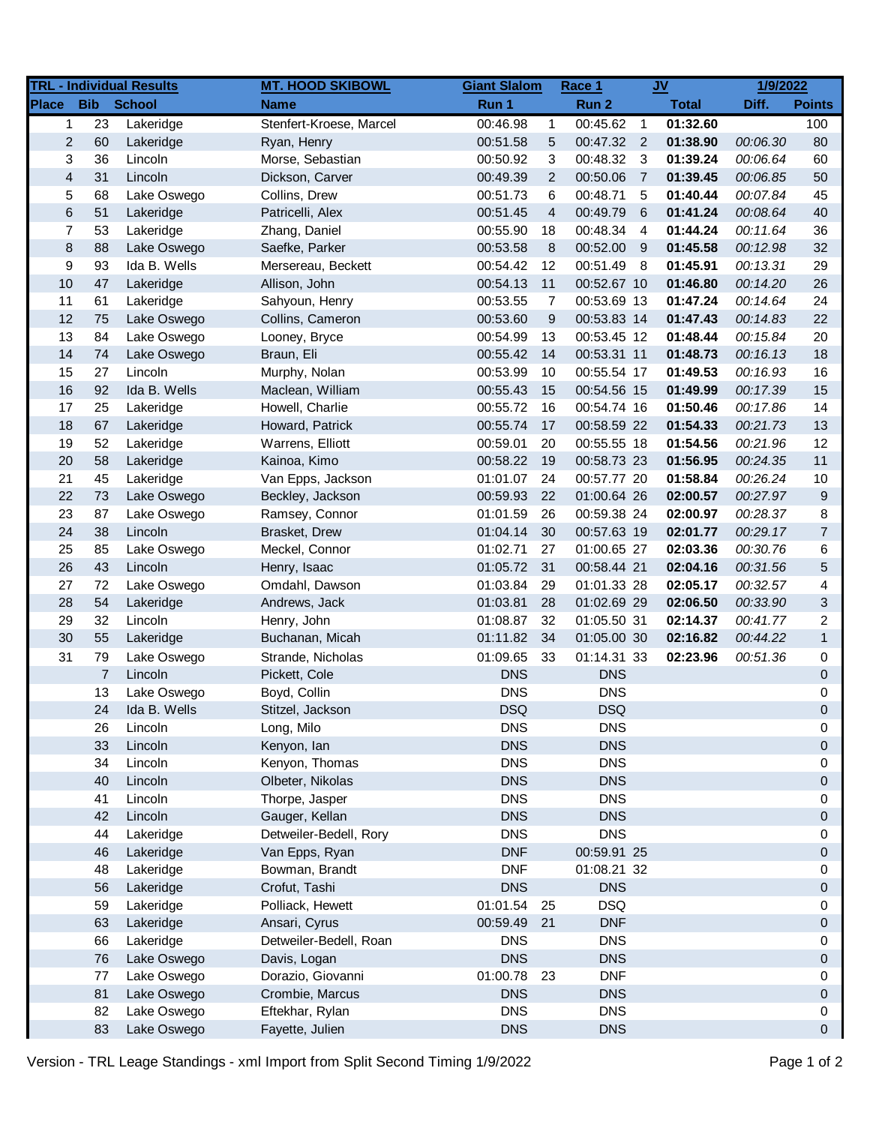| <b>Bib</b><br><b>School</b><br><b>Place</b><br>Run 1<br>Run 2<br><b>Total</b><br>Diff.<br><b>Points</b><br><b>Name</b><br>00:45.62 1<br>01:32.60<br>23<br>Lakeridge<br>Stenfert-Kroese, Marcel<br>00:46.98<br>$\mathbf{1}$<br>1<br>$\overline{2}$<br>00:47.32 2<br>01:38.90<br>00:06.30<br>60<br>Lakeridge<br>Ryan, Henry<br>00:51.58<br>5<br>3<br>36<br>Lincoln<br>3<br>00:48.32<br>01:39.24<br>Morse, Sebastian<br>00:50.92<br>$\overline{\mathbf{3}}$<br>00:06.64<br>$\overline{\mathbf{4}}$<br>31<br>Lincoln<br>$\overline{2}$<br>00:50.06<br>01:39.45<br>Dickson, Carver<br>00:49.39<br>$\overline{7}$<br>00:06.85<br>5<br>68<br>Lake Oswego<br>Collins, Drew<br>00:51.73<br>6<br>00:48.71<br>5<br>01:40.44<br>00:07.84<br>$\,6$<br>01:41.24<br>51<br>00:51.45<br>$\overline{4}$<br>00:49.79<br>6<br>00:08.64<br>Lakeridge<br>Patricelli, Alex<br>7<br>53<br>00:55.90<br>18<br>00:48.34<br>01:44.24<br>00:11.64<br>Lakeridge<br>Zhang, Daniel<br>-4<br>8<br>88<br>00:53.58<br>8<br>00:52.00 9<br>01:45.58<br>00:12.98<br>Lake Oswego<br>Saefke, Parker<br>9<br>93<br>01:45.91<br>Ida B. Wells<br>Mersereau, Beckett<br>00:54.42<br>12<br>00:51.49<br>- 8<br>00:13.31<br>10<br>47<br>Allison, John<br>11<br>00:52.67 10<br>01:46.80<br>00:14.20<br>Lakeridge<br>00:54.13<br>61<br>11<br>Sahyoun, Henry<br>00:53.55<br>$\overline{7}$<br>00:53.69 13<br>01:47.24<br>00:14.64<br>Lakeridge<br>12<br>75<br>Lake Oswego<br>Collins, Cameron<br>00:53.60<br>9<br>00:53.83 14<br>01:47.43<br>00:14.83<br>13<br>84<br>00:54.99<br>13<br>00:53.45 12<br>01:48.44<br>Lake Oswego<br>Looney, Bryce<br>00:15.84 |                  |
|----------------------------------------------------------------------------------------------------------------------------------------------------------------------------------------------------------------------------------------------------------------------------------------------------------------------------------------------------------------------------------------------------------------------------------------------------------------------------------------------------------------------------------------------------------------------------------------------------------------------------------------------------------------------------------------------------------------------------------------------------------------------------------------------------------------------------------------------------------------------------------------------------------------------------------------------------------------------------------------------------------------------------------------------------------------------------------------------------------------------------------------------------------------------------------------------------------------------------------------------------------------------------------------------------------------------------------------------------------------------------------------------------------------------------------------------------------------------------------------------------------------------------------------------------------------------------------------------------------|------------------|
|                                                                                                                                                                                                                                                                                                                                                                                                                                                                                                                                                                                                                                                                                                                                                                                                                                                                                                                                                                                                                                                                                                                                                                                                                                                                                                                                                                                                                                                                                                                                                                                                          |                  |
|                                                                                                                                                                                                                                                                                                                                                                                                                                                                                                                                                                                                                                                                                                                                                                                                                                                                                                                                                                                                                                                                                                                                                                                                                                                                                                                                                                                                                                                                                                                                                                                                          | 100              |
|                                                                                                                                                                                                                                                                                                                                                                                                                                                                                                                                                                                                                                                                                                                                                                                                                                                                                                                                                                                                                                                                                                                                                                                                                                                                                                                                                                                                                                                                                                                                                                                                          | 80               |
|                                                                                                                                                                                                                                                                                                                                                                                                                                                                                                                                                                                                                                                                                                                                                                                                                                                                                                                                                                                                                                                                                                                                                                                                                                                                                                                                                                                                                                                                                                                                                                                                          | 60               |
|                                                                                                                                                                                                                                                                                                                                                                                                                                                                                                                                                                                                                                                                                                                                                                                                                                                                                                                                                                                                                                                                                                                                                                                                                                                                                                                                                                                                                                                                                                                                                                                                          | 50               |
|                                                                                                                                                                                                                                                                                                                                                                                                                                                                                                                                                                                                                                                                                                                                                                                                                                                                                                                                                                                                                                                                                                                                                                                                                                                                                                                                                                                                                                                                                                                                                                                                          | 45               |
|                                                                                                                                                                                                                                                                                                                                                                                                                                                                                                                                                                                                                                                                                                                                                                                                                                                                                                                                                                                                                                                                                                                                                                                                                                                                                                                                                                                                                                                                                                                                                                                                          | 40               |
|                                                                                                                                                                                                                                                                                                                                                                                                                                                                                                                                                                                                                                                                                                                                                                                                                                                                                                                                                                                                                                                                                                                                                                                                                                                                                                                                                                                                                                                                                                                                                                                                          | 36               |
|                                                                                                                                                                                                                                                                                                                                                                                                                                                                                                                                                                                                                                                                                                                                                                                                                                                                                                                                                                                                                                                                                                                                                                                                                                                                                                                                                                                                                                                                                                                                                                                                          | 32               |
|                                                                                                                                                                                                                                                                                                                                                                                                                                                                                                                                                                                                                                                                                                                                                                                                                                                                                                                                                                                                                                                                                                                                                                                                                                                                                                                                                                                                                                                                                                                                                                                                          | 29               |
|                                                                                                                                                                                                                                                                                                                                                                                                                                                                                                                                                                                                                                                                                                                                                                                                                                                                                                                                                                                                                                                                                                                                                                                                                                                                                                                                                                                                                                                                                                                                                                                                          | 26               |
|                                                                                                                                                                                                                                                                                                                                                                                                                                                                                                                                                                                                                                                                                                                                                                                                                                                                                                                                                                                                                                                                                                                                                                                                                                                                                                                                                                                                                                                                                                                                                                                                          | 24               |
|                                                                                                                                                                                                                                                                                                                                                                                                                                                                                                                                                                                                                                                                                                                                                                                                                                                                                                                                                                                                                                                                                                                                                                                                                                                                                                                                                                                                                                                                                                                                                                                                          | 22               |
|                                                                                                                                                                                                                                                                                                                                                                                                                                                                                                                                                                                                                                                                                                                                                                                                                                                                                                                                                                                                                                                                                                                                                                                                                                                                                                                                                                                                                                                                                                                                                                                                          | 20               |
| 14<br>01:48.73<br>74<br>Lake Oswego<br>00:55.42<br>14<br>00:53.31 11<br>00:16.13<br>Braun, Eli                                                                                                                                                                                                                                                                                                                                                                                                                                                                                                                                                                                                                                                                                                                                                                                                                                                                                                                                                                                                                                                                                                                                                                                                                                                                                                                                                                                                                                                                                                           | 18               |
| 15<br>27<br>Lincoln<br>Murphy, Nolan<br>00:53.99<br>10<br>00:55.54 17<br>01:49.53<br>00:16.93                                                                                                                                                                                                                                                                                                                                                                                                                                                                                                                                                                                                                                                                                                                                                                                                                                                                                                                                                                                                                                                                                                                                                                                                                                                                                                                                                                                                                                                                                                            | 16               |
| 16<br>92<br>Ida B. Wells<br>00:54.56 15<br>Maclean, William<br>00:55.43<br>01:49.99<br>00:17.39<br>15                                                                                                                                                                                                                                                                                                                                                                                                                                                                                                                                                                                                                                                                                                                                                                                                                                                                                                                                                                                                                                                                                                                                                                                                                                                                                                                                                                                                                                                                                                    | 15               |
| 17<br>25<br>Lakeridge<br>Howell, Charlie<br>00:55.72<br>16<br>00:54.74 16<br>01:50.46<br>00:17.86                                                                                                                                                                                                                                                                                                                                                                                                                                                                                                                                                                                                                                                                                                                                                                                                                                                                                                                                                                                                                                                                                                                                                                                                                                                                                                                                                                                                                                                                                                        | 14               |
| 18<br>67<br>Howard, Patrick<br>00:55.74<br>00:58.59 22<br>01:54.33<br>00:21.73<br>Lakeridge<br>17                                                                                                                                                                                                                                                                                                                                                                                                                                                                                                                                                                                                                                                                                                                                                                                                                                                                                                                                                                                                                                                                                                                                                                                                                                                                                                                                                                                                                                                                                                        | 13               |
| 19<br>52<br>Warrens, Elliott<br>00:59.01<br>20<br>00:55.55 18<br>01:54.56<br>00:21.96<br>Lakeridge                                                                                                                                                                                                                                                                                                                                                                                                                                                                                                                                                                                                                                                                                                                                                                                                                                                                                                                                                                                                                                                                                                                                                                                                                                                                                                                                                                                                                                                                                                       | 12               |
| 20<br>58<br>Kainoa, Kimo<br>00:58.22<br>19<br>00:58.73 23<br>01:56.95<br>Lakeridge<br>00:24.35                                                                                                                                                                                                                                                                                                                                                                                                                                                                                                                                                                                                                                                                                                                                                                                                                                                                                                                                                                                                                                                                                                                                                                                                                                                                                                                                                                                                                                                                                                           | 11               |
| 21<br>45<br>Van Epps, Jackson<br>01:01.07<br>24<br>00:57.77 20<br>01:58.84<br>00:26.24<br>Lakeridge                                                                                                                                                                                                                                                                                                                                                                                                                                                                                                                                                                                                                                                                                                                                                                                                                                                                                                                                                                                                                                                                                                                                                                                                                                                                                                                                                                                                                                                                                                      | 10               |
| 22<br>73<br>Beckley, Jackson<br>00:59.93<br>22<br>01:00.64 26<br>02:00.57<br>Lake Oswego<br>00:27.97                                                                                                                                                                                                                                                                                                                                                                                                                                                                                                                                                                                                                                                                                                                                                                                                                                                                                                                                                                                                                                                                                                                                                                                                                                                                                                                                                                                                                                                                                                     | 9                |
| 23<br>87<br>Lake Oswego<br>Ramsey, Connor<br>01:01.59<br>26<br>00:59.38 24<br>02:00.97<br>00:28.37                                                                                                                                                                                                                                                                                                                                                                                                                                                                                                                                                                                                                                                                                                                                                                                                                                                                                                                                                                                                                                                                                                                                                                                                                                                                                                                                                                                                                                                                                                       | 8                |
| 24<br>38<br>Lincoln<br>01:04.14<br>30<br>00:57.63 19<br>02:01.77<br>Brasket, Drew<br>00:29.17                                                                                                                                                                                                                                                                                                                                                                                                                                                                                                                                                                                                                                                                                                                                                                                                                                                                                                                                                                                                                                                                                                                                                                                                                                                                                                                                                                                                                                                                                                            | $\overline{7}$   |
| 25<br>85<br>Lake Oswego<br>01:02.71<br>27<br>01:00.65 27<br>02:03.36<br>Meckel, Connor<br>00:30.76                                                                                                                                                                                                                                                                                                                                                                                                                                                                                                                                                                                                                                                                                                                                                                                                                                                                                                                                                                                                                                                                                                                                                                                                                                                                                                                                                                                                                                                                                                       | 6                |
| 26<br>43<br>Lincoln<br>01:05.72<br>31<br>00:58.44 21<br>02:04.16<br>Henry, Isaac<br>00:31.56                                                                                                                                                                                                                                                                                                                                                                                                                                                                                                                                                                                                                                                                                                                                                                                                                                                                                                                                                                                                                                                                                                                                                                                                                                                                                                                                                                                                                                                                                                             | 5                |
| 27<br>72<br>Lake Oswego<br>Omdahl, Dawson<br>01:03.84<br>29<br>01:01.33 28<br>02:05.17<br>00:32.57                                                                                                                                                                                                                                                                                                                                                                                                                                                                                                                                                                                                                                                                                                                                                                                                                                                                                                                                                                                                                                                                                                                                                                                                                                                                                                                                                                                                                                                                                                       | 4                |
| 28<br>54<br>01:03.81<br>28<br>01:02.69 29<br>02:06.50<br>00:33.90<br>Lakeridge<br>Andrews, Jack                                                                                                                                                                                                                                                                                                                                                                                                                                                                                                                                                                                                                                                                                                                                                                                                                                                                                                                                                                                                                                                                                                                                                                                                                                                                                                                                                                                                                                                                                                          | 3                |
| 29<br>32<br>Lincoln<br>Henry, John<br>01:05.50 31<br>02:14.37<br>01:08.87<br>32<br>00:41.77                                                                                                                                                                                                                                                                                                                                                                                                                                                                                                                                                                                                                                                                                                                                                                                                                                                                                                                                                                                                                                                                                                                                                                                                                                                                                                                                                                                                                                                                                                              | $\overline{2}$   |
| 30<br>55<br>01:11.82<br>34<br>01:05.00 30<br>02:16.82<br>00:44.22<br>Buchanan, Micah<br>Lakeridge                                                                                                                                                                                                                                                                                                                                                                                                                                                                                                                                                                                                                                                                                                                                                                                                                                                                                                                                                                                                                                                                                                                                                                                                                                                                                                                                                                                                                                                                                                        | $\mathbf{1}$     |
| 31<br>79<br>Lake Oswego<br>01:09.65<br>33<br>01:14.31 33<br>02:23.96<br>00:51.36<br>Strande, Nicholas                                                                                                                                                                                                                                                                                                                                                                                                                                                                                                                                                                                                                                                                                                                                                                                                                                                                                                                                                                                                                                                                                                                                                                                                                                                                                                                                                                                                                                                                                                    | 0                |
| $\overline{7}$<br><b>DNS</b><br><b>DNS</b><br>Lincoln<br>Pickett, Cole                                                                                                                                                                                                                                                                                                                                                                                                                                                                                                                                                                                                                                                                                                                                                                                                                                                                                                                                                                                                                                                                                                                                                                                                                                                                                                                                                                                                                                                                                                                                   | $\boldsymbol{0}$ |
| 13<br><b>DNS</b><br><b>DNS</b><br>Lake Oswego<br>Boyd, Collin                                                                                                                                                                                                                                                                                                                                                                                                                                                                                                                                                                                                                                                                                                                                                                                                                                                                                                                                                                                                                                                                                                                                                                                                                                                                                                                                                                                                                                                                                                                                            | 0                |
| 24<br><b>DSQ</b><br><b>DSQ</b><br>Ida B. Wells<br>Stitzel, Jackson                                                                                                                                                                                                                                                                                                                                                                                                                                                                                                                                                                                                                                                                                                                                                                                                                                                                                                                                                                                                                                                                                                                                                                                                                                                                                                                                                                                                                                                                                                                                       | $\Omega$         |
| <b>DNS</b><br><b>DNS</b><br>26<br>Long, Milo<br>Lincoln                                                                                                                                                                                                                                                                                                                                                                                                                                                                                                                                                                                                                                                                                                                                                                                                                                                                                                                                                                                                                                                                                                                                                                                                                                                                                                                                                                                                                                                                                                                                                  | 0                |
| <b>DNS</b><br><b>DNS</b><br>33<br>Lincoln<br>Kenyon, lan                                                                                                                                                                                                                                                                                                                                                                                                                                                                                                                                                                                                                                                                                                                                                                                                                                                                                                                                                                                                                                                                                                                                                                                                                                                                                                                                                                                                                                                                                                                                                 | $\mathbf 0$      |
| <b>DNS</b><br>34<br>Lincoln<br>Kenyon, Thomas<br><b>DNS</b>                                                                                                                                                                                                                                                                                                                                                                                                                                                                                                                                                                                                                                                                                                                                                                                                                                                                                                                                                                                                                                                                                                                                                                                                                                                                                                                                                                                                                                                                                                                                              | 0                |
| <b>DNS</b><br>40<br>Olbeter, Nikolas<br><b>DNS</b><br>Lincoln                                                                                                                                                                                                                                                                                                                                                                                                                                                                                                                                                                                                                                                                                                                                                                                                                                                                                                                                                                                                                                                                                                                                                                                                                                                                                                                                                                                                                                                                                                                                            | 0                |
| <b>DNS</b><br><b>DNS</b><br>41<br>Lincoln<br>Thorpe, Jasper                                                                                                                                                                                                                                                                                                                                                                                                                                                                                                                                                                                                                                                                                                                                                                                                                                                                                                                                                                                                                                                                                                                                                                                                                                                                                                                                                                                                                                                                                                                                              | 0                |
| Gauger, Kellan<br><b>DNS</b><br><b>DNS</b><br>42<br>Lincoln                                                                                                                                                                                                                                                                                                                                                                                                                                                                                                                                                                                                                                                                                                                                                                                                                                                                                                                                                                                                                                                                                                                                                                                                                                                                                                                                                                                                                                                                                                                                              | $\mathbf 0$      |
| <b>DNS</b><br><b>DNS</b><br>44<br>Lakeridge<br>Detweiler-Bedell, Rory                                                                                                                                                                                                                                                                                                                                                                                                                                                                                                                                                                                                                                                                                                                                                                                                                                                                                                                                                                                                                                                                                                                                                                                                                                                                                                                                                                                                                                                                                                                                    | 0                |
| <b>DNF</b><br>00:59.91 25<br>46<br>Lakeridge<br>Van Epps, Ryan                                                                                                                                                                                                                                                                                                                                                                                                                                                                                                                                                                                                                                                                                                                                                                                                                                                                                                                                                                                                                                                                                                                                                                                                                                                                                                                                                                                                                                                                                                                                           | $\mathbf 0$      |
| <b>DNF</b><br>01:08.21 32<br>48<br>Lakeridge<br>Bowman, Brandt                                                                                                                                                                                                                                                                                                                                                                                                                                                                                                                                                                                                                                                                                                                                                                                                                                                                                                                                                                                                                                                                                                                                                                                                                                                                                                                                                                                                                                                                                                                                           | 0                |
| <b>DNS</b><br><b>DNS</b><br>Lakeridge<br>Crofut, Tashi<br>56                                                                                                                                                                                                                                                                                                                                                                                                                                                                                                                                                                                                                                                                                                                                                                                                                                                                                                                                                                                                                                                                                                                                                                                                                                                                                                                                                                                                                                                                                                                                             | 0                |
| 01:01.54<br><b>DSQ</b><br>59<br>Lakeridge<br>Polliack, Hewett<br>25                                                                                                                                                                                                                                                                                                                                                                                                                                                                                                                                                                                                                                                                                                                                                                                                                                                                                                                                                                                                                                                                                                                                                                                                                                                                                                                                                                                                                                                                                                                                      | 0                |
| <b>DNF</b><br>63<br>Lakeridge<br>Ansari, Cyrus<br>00:59.49<br>21                                                                                                                                                                                                                                                                                                                                                                                                                                                                                                                                                                                                                                                                                                                                                                                                                                                                                                                                                                                                                                                                                                                                                                                                                                                                                                                                                                                                                                                                                                                                         | $\boldsymbol{0}$ |
| <b>DNS</b><br>66<br>Lakeridge<br>Detweiler-Bedell, Roan<br><b>DNS</b>                                                                                                                                                                                                                                                                                                                                                                                                                                                                                                                                                                                                                                                                                                                                                                                                                                                                                                                                                                                                                                                                                                                                                                                                                                                                                                                                                                                                                                                                                                                                    | 0                |
| Lake Oswego<br><b>DNS</b><br><b>DNS</b><br>76<br>Davis, Logan                                                                                                                                                                                                                                                                                                                                                                                                                                                                                                                                                                                                                                                                                                                                                                                                                                                                                                                                                                                                                                                                                                                                                                                                                                                                                                                                                                                                                                                                                                                                            | $\mathbf 0$      |
| <b>DNF</b><br>Lake Oswego<br>Dorazio, Giovanni<br>01:00.78<br>23<br>77                                                                                                                                                                                                                                                                                                                                                                                                                                                                                                                                                                                                                                                                                                                                                                                                                                                                                                                                                                                                                                                                                                                                                                                                                                                                                                                                                                                                                                                                                                                                   | 0                |
| 81<br>Lake Oswego<br>Crombie, Marcus<br><b>DNS</b><br><b>DNS</b>                                                                                                                                                                                                                                                                                                                                                                                                                                                                                                                                                                                                                                                                                                                                                                                                                                                                                                                                                                                                                                                                                                                                                                                                                                                                                                                                                                                                                                                                                                                                         | 0                |
| <b>DNS</b><br><b>DNS</b><br>Lake Oswego<br>Eftekhar, Rylan<br>82                                                                                                                                                                                                                                                                                                                                                                                                                                                                                                                                                                                                                                                                                                                                                                                                                                                                                                                                                                                                                                                                                                                                                                                                                                                                                                                                                                                                                                                                                                                                         | 0                |
| Lake Oswego<br>Fayette, Julien<br><b>DNS</b><br><b>DNS</b><br>83                                                                                                                                                                                                                                                                                                                                                                                                                                                                                                                                                                                                                                                                                                                                                                                                                                                                                                                                                                                                                                                                                                                                                                                                                                                                                                                                                                                                                                                                                                                                         | 0                |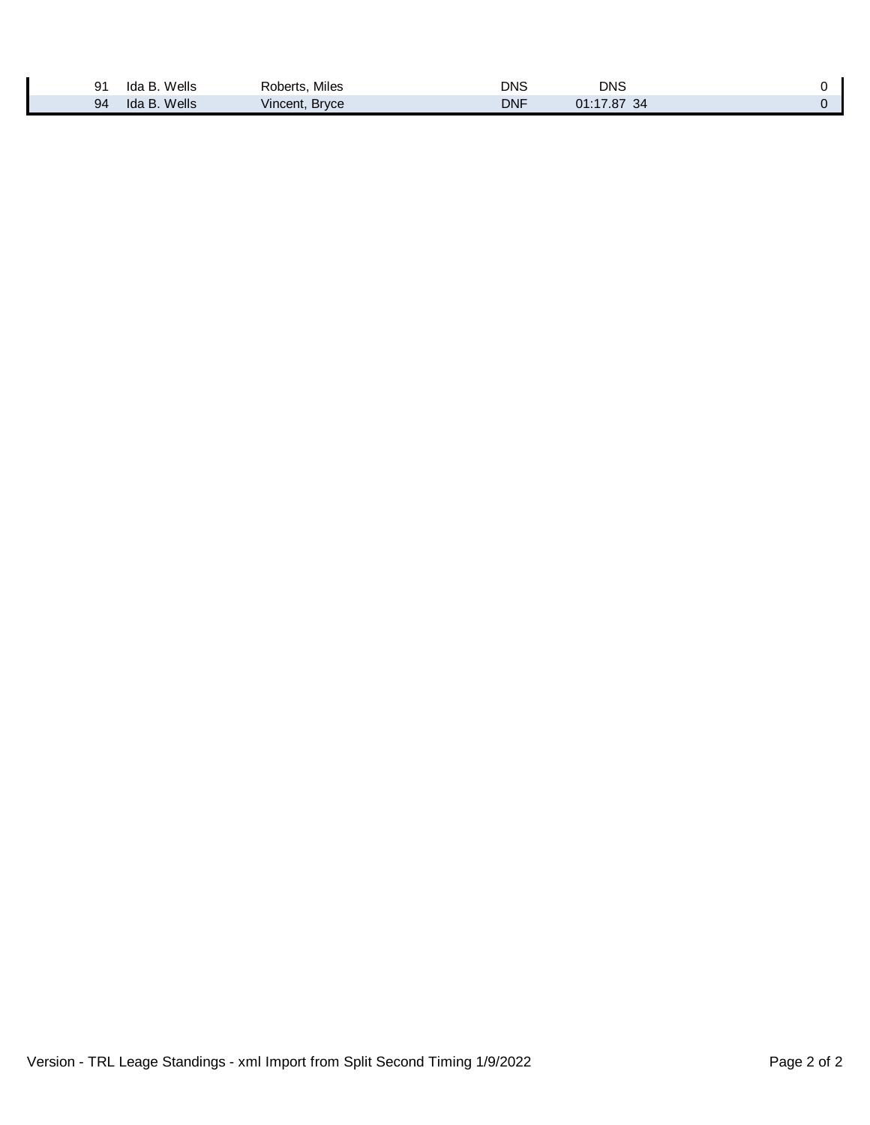| 91 | Wells<br>ida B  | Miles<br>Roberts.<br>$ -$ | DNS | DNS<br>$\sim$ |  |
|----|-----------------|---------------------------|-----|---------------|--|
| 94 | Wells<br>Ida B. | Vincent, Bryce            | DNF | 01:17.87 34   |  |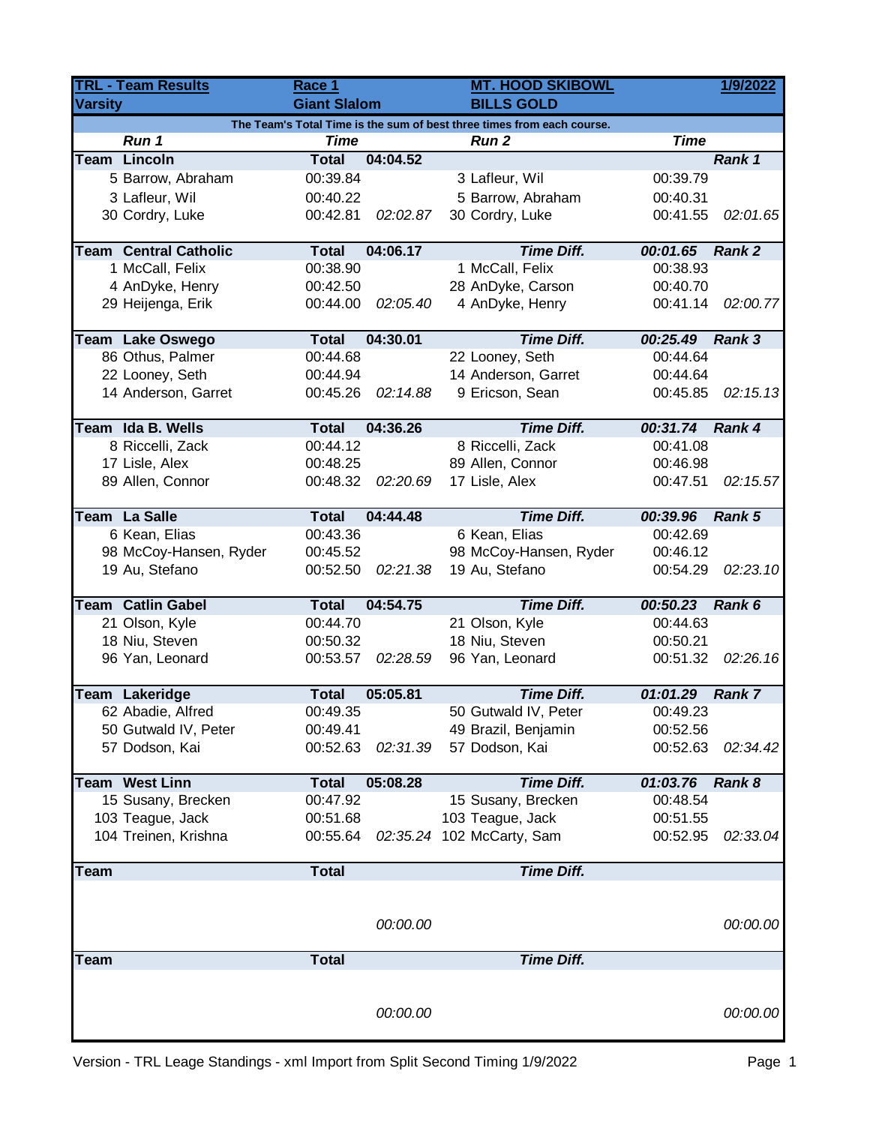| <b>TRL - Team Results</b> |                                                                                                | Race 1                      |          | <b>MT. HOOD SKIBOWL</b>   | 1/9/2022 |               |  |  |
|---------------------------|------------------------------------------------------------------------------------------------|-----------------------------|----------|---------------------------|----------|---------------|--|--|
| <b>Varsity</b>            |                                                                                                | <b>Giant Slalom</b>         |          | <b>BILLS GOLD</b>         |          |               |  |  |
|                           | The Team's Total Time is the sum of best three times from each course.<br><b>Time</b><br>Run 1 |                             |          |                           |          |               |  |  |
|                           | <b>Team Lincoln</b>                                                                            | <b>Time</b><br><b>Total</b> | 04:04.52 | <b>Run 2</b>              |          | Rank 1        |  |  |
|                           | 5 Barrow, Abraham                                                                              | 00:39.84                    |          | 3 Lafleur, Wil            | 00:39.79 |               |  |  |
|                           | 3 Lafleur, Wil                                                                                 | 00:40.22                    |          | 5 Barrow, Abraham         | 00:40.31 |               |  |  |
|                           | 30 Cordry, Luke                                                                                | 00:42.81                    | 02:02.87 | 30 Cordry, Luke           | 00:41.55 | 02:01.65      |  |  |
|                           |                                                                                                |                             |          |                           |          |               |  |  |
|                           | <b>Team Central Catholic</b>                                                                   | <b>Total</b>                | 04:06.17 | <b>Time Diff.</b>         | 00:01.65 | Rank 2        |  |  |
|                           | 1 McCall, Felix                                                                                | 00:38.90                    |          | 1 McCall, Felix           | 00:38.93 |               |  |  |
|                           | 4 AnDyke, Henry                                                                                | 00:42.50                    |          | 28 AnDyke, Carson         | 00:40.70 |               |  |  |
|                           | 29 Heijenga, Erik                                                                              | 00:44.00                    | 02:05.40 | 4 AnDyke, Henry           | 00:41.14 | 02:00.77      |  |  |
|                           | Team Lake Oswego                                                                               | <b>Total</b>                | 04:30.01 | <b>Time Diff.</b>         | 00:25.49 | Rank 3        |  |  |
|                           | 86 Othus, Palmer                                                                               | 00:44.68                    |          | 22 Looney, Seth           | 00:44.64 |               |  |  |
|                           | 22 Looney, Seth                                                                                | 00:44.94                    |          | 14 Anderson, Garret       | 00:44.64 |               |  |  |
|                           | 14 Anderson, Garret                                                                            | 00:45.26                    | 02:14.88 | 9 Ericson, Sean           | 00:45.85 | 02:15.13      |  |  |
|                           |                                                                                                |                             |          |                           |          |               |  |  |
|                           | Team Ida B. Wells                                                                              | <b>Total</b>                | 04:36.26 | <b>Time Diff.</b>         | 00:31.74 | Rank 4        |  |  |
|                           | 8 Riccelli, Zack                                                                               | 00:44.12                    |          | 8 Riccelli, Zack          | 00:41.08 |               |  |  |
|                           | 17 Lisle, Alex                                                                                 | 00:48.25                    |          | 89 Allen, Connor          | 00:46.98 |               |  |  |
|                           | 89 Allen, Connor                                                                               | 00:48.32                    | 02:20.69 | 17 Lisle, Alex            | 00:47.51 | 02:15.57      |  |  |
|                           |                                                                                                |                             |          |                           |          |               |  |  |
|                           | Team La Salle                                                                                  | <b>Total</b>                | 04:44.48 | <b>Time Diff.</b>         | 00:39.96 | Rank 5        |  |  |
|                           | 6 Kean, Elias                                                                                  | 00:43.36                    |          | 6 Kean, Elias             | 00:42.69 |               |  |  |
|                           | 98 McCoy-Hansen, Ryder                                                                         | 00:45.52                    |          | 98 McCoy-Hansen, Ryder    | 00:46.12 |               |  |  |
|                           | 19 Au, Stefano                                                                                 | 00:52.50                    | 02:21.38 | 19 Au, Stefano            | 00:54.29 | 02:23.10      |  |  |
|                           | <b>Team Catlin Gabel</b>                                                                       | <b>Total</b>                | 04:54.75 | <b>Time Diff.</b>         | 00:50.23 | Rank 6        |  |  |
|                           | 21 Olson, Kyle                                                                                 | 00:44.70                    |          | 21 Olson, Kyle            | 00:44.63 |               |  |  |
|                           | 18 Niu, Steven                                                                                 | 00:50.32                    |          | 18 Niu, Steven            | 00:50.21 |               |  |  |
|                           | 96 Yan, Leonard                                                                                | 00:53.57                    | 02:28.59 | 96 Yan, Leonard           | 00:51.32 | 02:26.16      |  |  |
|                           |                                                                                                |                             |          |                           |          |               |  |  |
|                           | Team Lakeridge                                                                                 | <b>Total</b>                | 05:05.81 | <b>Time Diff.</b>         | 01:01.29 | <b>Rank 7</b> |  |  |
|                           | 62 Abadie, Alfred                                                                              | 00:49.35                    |          | 50 Gutwald IV, Peter      | 00:49.23 |               |  |  |
|                           | 50 Gutwald IV, Peter                                                                           | 00:49.41                    |          | 49 Brazil, Benjamin       | 00:52.56 |               |  |  |
|                           | 57 Dodson, Kai                                                                                 | 00:52.63                    | 02:31.39 | 57 Dodson, Kai            | 00:52.63 | 02:34.42      |  |  |
|                           | <b>Team West Linn</b>                                                                          | <b>Total</b>                | 05:08.28 | <b>Time Diff.</b>         | 01:03.76 | Rank 8        |  |  |
|                           | 15 Susany, Brecken                                                                             | 00:47.92                    |          | 15 Susany, Brecken        | 00:48.54 |               |  |  |
|                           | 103 Teague, Jack                                                                               | 00:51.68                    |          | 103 Teague, Jack          | 00:51.55 |               |  |  |
|                           | 104 Treinen, Krishna                                                                           | 00:55.64                    |          | 02:35.24 102 McCarty, Sam | 00:52.95 | 02:33.04      |  |  |
|                           |                                                                                                |                             |          |                           |          |               |  |  |
| <b>Team</b>               |                                                                                                | <b>Total</b>                |          | <b>Time Diff.</b>         |          |               |  |  |
|                           |                                                                                                |                             |          |                           |          |               |  |  |
|                           |                                                                                                |                             | 00:00.00 |                           |          | 00:00.00      |  |  |
|                           |                                                                                                |                             |          |                           |          |               |  |  |
| <b>Team</b>               |                                                                                                | <b>Total</b>                |          | <b>Time Diff.</b>         |          |               |  |  |
|                           |                                                                                                |                             |          |                           |          |               |  |  |
|                           |                                                                                                |                             |          |                           |          | 00:00.00      |  |  |
|                           |                                                                                                |                             | 00:00.00 |                           |          |               |  |  |
|                           |                                                                                                |                             |          |                           |          |               |  |  |